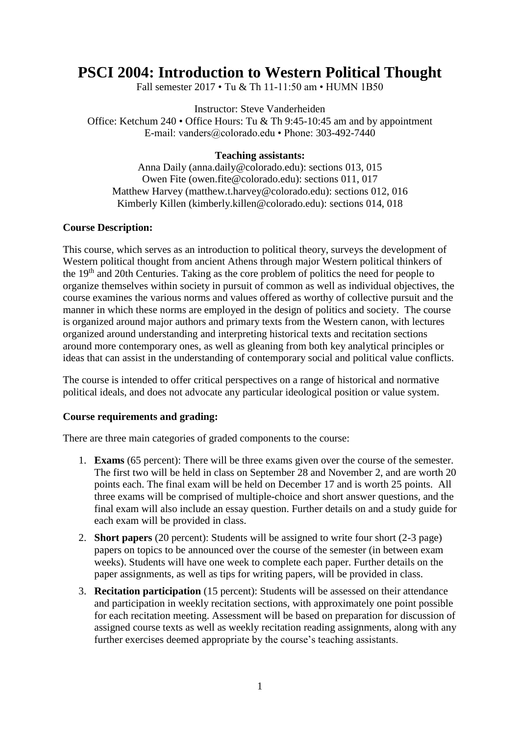# **PSCI 2004: Introduction to Western Political Thought**

Fall semester 2017 • Tu & Th 11-11:50 am • HUMN 1B50

Instructor: Steve Vanderheiden

Office: Ketchum 240 • Office Hours: Tu & Th 9:45-10:45 am and by appointment E-mail: vanders@colorado.edu • Phone: 303-492-7440

### **Teaching assistants:**

Anna Daily [\(anna.daily@colorado.edu\)](mailto:anna.daily@colorado.edu): sections 013, 015 Owen Fite [\(owen.fite@colorado.edu\)](mailto:owen.fite@colorado.edu): sections 011, 017 Matthew Harvey (matthew.t.harvey@colorado.edu): sections 012, 016 Kimberly Killen [\(kimberly.killen@colorado.edu\)](mailto:kimberly.killen@colorado.edu): sections 014, 018

#### **Course Description:**

This course, which serves as an introduction to political theory, surveys the development of Western political thought from ancient Athens through major Western political thinkers of the 19th and 20th Centuries. Taking as the core problem of politics the need for people to organize themselves within society in pursuit of common as well as individual objectives, the course examines the various norms and values offered as worthy of collective pursuit and the manner in which these norms are employed in the design of politics and society. The course is organized around major authors and primary texts from the Western canon, with lectures organized around understanding and interpreting historical texts and recitation sections around more contemporary ones, as well as gleaning from both key analytical principles or ideas that can assist in the understanding of contemporary social and political value conflicts.

The course is intended to offer critical perspectives on a range of historical and normative political ideals, and does not advocate any particular ideological position or value system.

#### **Course requirements and grading:**

There are three main categories of graded components to the course:

- 1. **Exams** (65 percent): There will be three exams given over the course of the semester. The first two will be held in class on September 28 and November 2, and are worth 20 points each. The final exam will be held on December 17 and is worth 25 points. All three exams will be comprised of multiple-choice and short answer questions, and the final exam will also include an essay question. Further details on and a study guide for each exam will be provided in class.
- 2. **Short papers** (20 percent): Students will be assigned to write four short (2-3 page) papers on topics to be announced over the course of the semester (in between exam weeks). Students will have one week to complete each paper. Further details on the paper assignments, as well as tips for writing papers, will be provided in class.
- 3. **Recitation participation** (15 percent): Students will be assessed on their attendance and participation in weekly recitation sections, with approximately one point possible for each recitation meeting. Assessment will be based on preparation for discussion of assigned course texts as well as weekly recitation reading assignments, along with any further exercises deemed appropriate by the course's teaching assistants.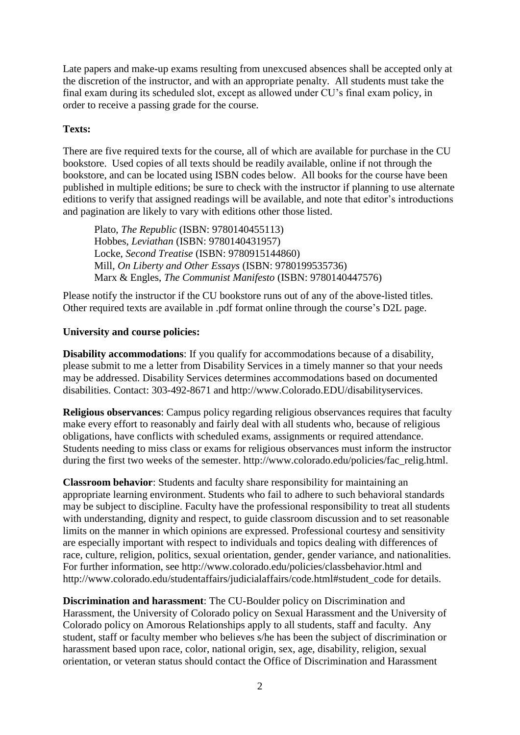Late papers and make-up exams resulting from unexcused absences shall be accepted only at the discretion of the instructor, and with an appropriate penalty. All students must take the final exam during its scheduled slot, except as allowed under CU's final exam policy, in order to receive a passing grade for the course.

## **Texts:**

There are five required texts for the course, all of which are available for purchase in the CU bookstore. Used copies of all texts should be readily available, online if not through the bookstore, and can be located using ISBN codes below. All books for the course have been published in multiple editions; be sure to check with the instructor if planning to use alternate editions to verify that assigned readings will be available, and note that editor's introductions and pagination are likely to vary with editions other those listed.

Plato, *The Republic* (ISBN: 9780140455113) Hobbes, *Leviathan* (ISBN: 9780140431957) Locke, *Second Treatise* (ISBN: 9780915144860) Mill, *On Liberty and Other Essays* (ISBN: 9780199535736) Marx & Engles, *The Communist Manifesto* (ISBN: 9780140447576)

Please notify the instructor if the CU bookstore runs out of any of the above-listed titles. Other required texts are available in .pdf format online through the course's D2L page.

## **University and course policies:**

**Disability accommodations**: If you qualify for accommodations because of a disability, please submit to me a letter from Disability Services in a timely manner so that your needs may be addressed. Disability Services determines accommodations based on documented disabilities. Contact: 303-492-8671 and http://www.Colorado.EDU/disabilityservices.

**Religious observances**: Campus policy regarding religious observances requires that faculty make every effort to reasonably and fairly deal with all students who, because of religious obligations, have conflicts with scheduled exams, assignments or required attendance. Students needing to miss class or exams for religious observances must inform the instructor during the first two weeks of the semester. http://www.colorado.edu/policies/fac\_relig.html.

**Classroom behavior**: Students and faculty share responsibility for maintaining an appropriate learning environment. Students who fail to adhere to such behavioral standards may be subject to discipline. Faculty have the professional responsibility to treat all students with understanding, dignity and respect, to guide classroom discussion and to set reasonable limits on the manner in which opinions are expressed. Professional courtesy and sensitivity are especially important with respect to individuals and topics dealing with differences of race, culture, religion, politics, sexual orientation, gender, gender variance, and nationalities. For further information, see http://www.colorado.edu/policies/classbehavior.html and http://www.colorado.edu/studentaffairs/judicialaffairs/code.html#student\_code for details.

**Discrimination and harassment**: The CU-Boulder policy on Discrimination and Harassment, the University of Colorado policy on Sexual Harassment and the University of Colorado policy on Amorous Relationships apply to all students, staff and faculty. Any student, staff or faculty member who believes s/he has been the subject of discrimination or harassment based upon race, color, national origin, sex, age, disability, religion, sexual orientation, or veteran status should contact the Office of Discrimination and Harassment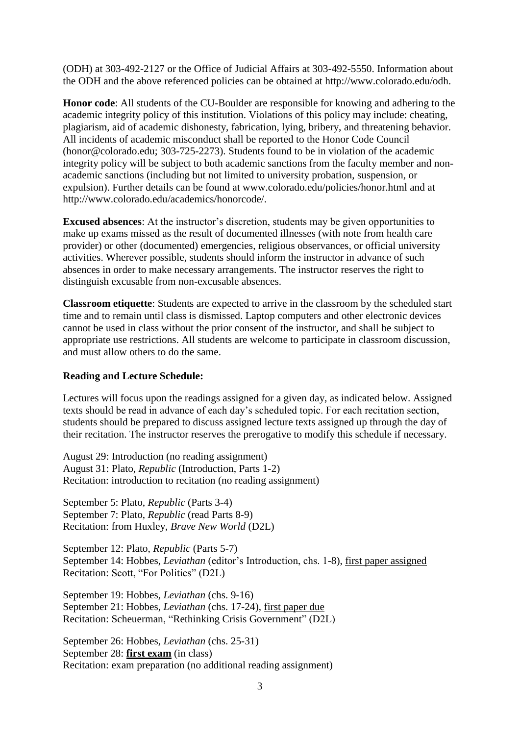(ODH) at 303-492-2127 or the Office of Judicial Affairs at 303-492-5550. Information about the ODH and the above referenced policies can be obtained at http://www.colorado.edu/odh.

**Honor code**: All students of the CU-Boulder are responsible for knowing and adhering to the academic integrity policy of this institution. Violations of this policy may include: cheating, plagiarism, aid of academic dishonesty, fabrication, lying, bribery, and threatening behavior. All incidents of academic misconduct shall be reported to the Honor Code Council (honor@colorado.edu; 303-725-2273). Students found to be in violation of the academic integrity policy will be subject to both academic sanctions from the faculty member and nonacademic sanctions (including but not limited to university probation, suspension, or expulsion). Further details can be found at www.colorado.edu/policies/honor.html and at http://www.colorado.edu/academics/honorcode/.

**Excused absences**: At the instructor's discretion, students may be given opportunities to make up exams missed as the result of documented illnesses (with note from health care provider) or other (documented) emergencies, religious observances, or official university activities. Wherever possible, students should inform the instructor in advance of such absences in order to make necessary arrangements. The instructor reserves the right to distinguish excusable from non-excusable absences.

**Classroom etiquette**: Students are expected to arrive in the classroom by the scheduled start time and to remain until class is dismissed. Laptop computers and other electronic devices cannot be used in class without the prior consent of the instructor, and shall be subject to appropriate use restrictions. All students are welcome to participate in classroom discussion, and must allow others to do the same.

## **Reading and Lecture Schedule:**

Lectures will focus upon the readings assigned for a given day, as indicated below. Assigned texts should be read in advance of each day's scheduled topic. For each recitation section, students should be prepared to discuss assigned lecture texts assigned up through the day of their recitation. The instructor reserves the prerogative to modify this schedule if necessary.

August 29: Introduction (no reading assignment) August 31: Plato, *Republic* (Introduction, Parts 1-2) Recitation: introduction to recitation (no reading assignment)

September 5: Plato, *Republic* (Parts 3-4) September 7: Plato, *Republic* (read Parts 8-9) Recitation: from Huxley, *Brave New World* (D2L)

September 12: Plato, *Republic* (Parts 5-7) September 14: Hobbes, *Leviathan* (editor's Introduction, chs. 1-8), first paper assigned Recitation: Scott, "For Politics" (D2L)

September 19: Hobbes, *Leviathan* (chs. 9-16) September 21: Hobbes, *Leviathan* (chs. 17-24), first paper due Recitation: Scheuerman, "Rethinking Crisis Government" (D2L)

September 26: Hobbes, *Leviathan* (chs. 25-31) September 28: **first exam** (in class) Recitation: exam preparation (no additional reading assignment)